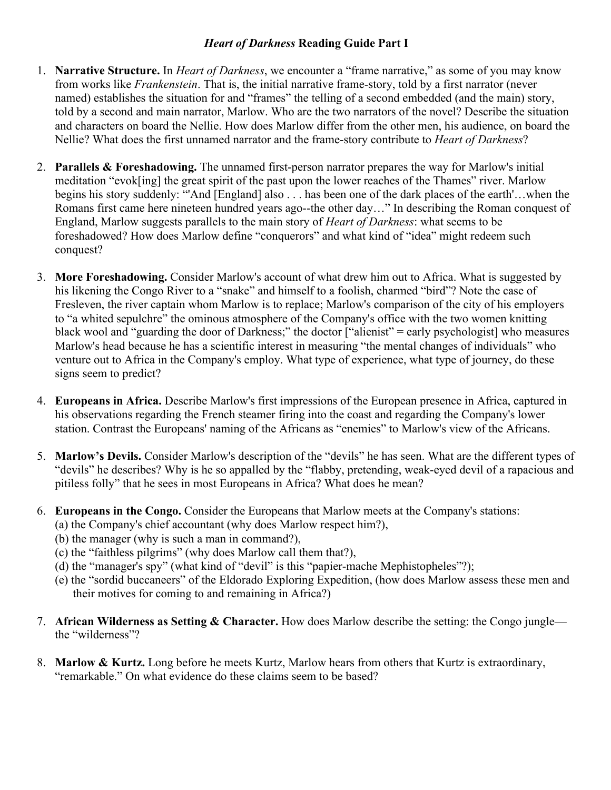## *Heart of Darkness* **Reading Guide Part I**

- 1. **Narrative Structure.** In *Heart of Darkness*, we encounter a "frame narrative," as some of you may know from works like *Frankenstein*. That is, the initial narrative frame-story, told by a first narrator (never named) establishes the situation for and "frames" the telling of a second embedded (and the main) story, told by a second and main narrator, Marlow. Who are the two narrators of the novel? Describe the situation and characters on board the Nellie. How does Marlow differ from the other men, his audience, on board the Nellie? What does the first unnamed narrator and the frame-story contribute to *Heart of Darkness*?
- 2. **Parallels & Foreshadowing.** The unnamed first-person narrator prepares the way for Marlow's initial meditation "evok[ing] the great spirit of the past upon the lower reaches of the Thames" river. Marlow begins his story suddenly: "'And [England] also . . . has been one of the dark places of the earth'…when the Romans first came here nineteen hundred years ago--the other day…" In describing the Roman conquest of England, Marlow suggests parallels to the main story of *Heart of Darkness*: what seems to be foreshadowed? How does Marlow define "conquerors" and what kind of "idea" might redeem such conquest?
- 3. **More Foreshadowing.** Consider Marlow's account of what drew him out to Africa. What is suggested by his likening the Congo River to a "snake" and himself to a foolish, charmed "bird"? Note the case of Fresleven, the river captain whom Marlow is to replace; Marlow's comparison of the city of his employers to "a whited sepulchre" the ominous atmosphere of the Company's office with the two women knitting black wool and "guarding the door of Darkness;" the doctor  $\int$ "alienist" = early psychologist] who measures Marlow's head because he has a scientific interest in measuring "the mental changes of individuals" who venture out to Africa in the Company's employ. What type of experience, what type of journey, do these signs seem to predict?
- 4. **Europeans in Africa.** Describe Marlow's first impressions of the European presence in Africa, captured in his observations regarding the French steamer firing into the coast and regarding the Company's lower station. Contrast the Europeans' naming of the Africans as "enemies" to Marlow's view of the Africans.
- 5. **Marlow's Devils.** Consider Marlow's description of the "devils" he has seen. What are the different types of "devils" he describes? Why is he so appalled by the "flabby, pretending, weak-eyed devil of a rapacious and pitiless folly" that he sees in most Europeans in Africa? What does he mean?
- 6. **Europeans in the Congo.** Consider the Europeans that Marlow meets at the Company's stations:
	- (a) the Company's chief accountant (why does Marlow respect him?),
	- (b) the manager (why is such a man in command?),
	- (c) the "faithless pilgrims" (why does Marlow call them that?),
	- (d) the "manager's spy" (what kind of "devil" is this "papier-mache Mephistopheles"?);
	- (e) the "sordid buccaneers" of the Eldorado Exploring Expedition, (how does Marlow assess these men and their motives for coming to and remaining in Africa?)
- 7. **African Wilderness as Setting & Character.** How does Marlow describe the setting: the Congo jungle the "wilderness"?
- 8. **Marlow & Kurtz.** Long before he meets Kurtz, Marlow hears from others that Kurtz is extraordinary, "remarkable." On what evidence do these claims seem to be based?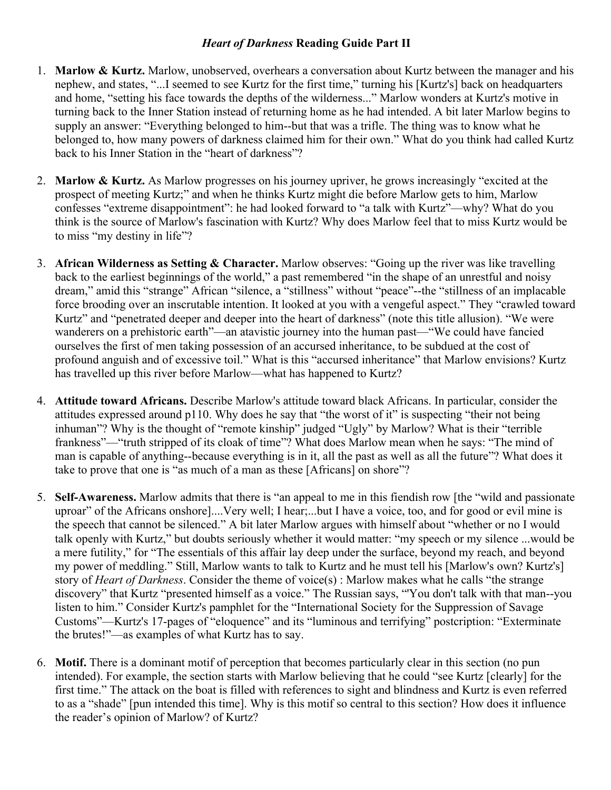## *Heart of Darkness* **Reading Guide Part II**

- 1. **Marlow & Kurtz.** Marlow, unobserved, overhears a conversation about Kurtz between the manager and his nephew, and states, "...I seemed to see Kurtz for the first time," turning his [Kurtz's] back on headquarters and home, "setting his face towards the depths of the wilderness..." Marlow wonders at Kurtz's motive in turning back to the Inner Station instead of returning home as he had intended. A bit later Marlow begins to supply an answer: "Everything belonged to him--but that was a trifle. The thing was to know what he belonged to, how many powers of darkness claimed him for their own." What do you think had called Kurtz back to his Inner Station in the "heart of darkness"?
- 2. **Marlow & Kurtz.** As Marlow progresses on his journey upriver, he grows increasingly "excited at the prospect of meeting Kurtz;" and when he thinks Kurtz might die before Marlow gets to him, Marlow confesses "extreme disappointment": he had looked forward to "a talk with Kurtz"—why? What do you think is the source of Marlow's fascination with Kurtz? Why does Marlow feel that to miss Kurtz would be to miss "my destiny in life"?
- 3. **African Wilderness as Setting & Character.** Marlow observes: "Going up the river was like travelling back to the earliest beginnings of the world," a past remembered "in the shape of an unrestful and noisy dream," amid this "strange" African "silence, a "stillness" without "peace"--the "stillness of an implacable force brooding over an inscrutable intention. It looked at you with a vengeful aspect." They "crawled toward Kurtz" and "penetrated deeper and deeper into the heart of darkness" (note this title allusion). "We were wanderers on a prehistoric earth"—an atavistic journey into the human past—"We could have fancied ourselves the first of men taking possession of an accursed inheritance, to be subdued at the cost of profound anguish and of excessive toil." What is this "accursed inheritance" that Marlow envisions? Kurtz has travelled up this river before Marlow—what has happened to Kurtz?
- 4. **Attitude toward Africans.** Describe Marlow's attitude toward black Africans. In particular, consider the attitudes expressed around p110. Why does he say that "the worst of it" is suspecting "their not being inhuman"? Why is the thought of "remote kinship" judged "Ugly" by Marlow? What is their "terrible frankness"—"truth stripped of its cloak of time"? What does Marlow mean when he says: "The mind of man is capable of anything--because everything is in it, all the past as well as all the future"? What does it take to prove that one is "as much of a man as these [Africans] on shore"?
- 5. **Self-Awareness.** Marlow admits that there is "an appeal to me in this fiendish row [the "wild and passionate uproar" of the Africans onshore]....Very well; I hear;...but I have a voice, too, and for good or evil mine is the speech that cannot be silenced." A bit later Marlow argues with himself about "whether or no I would talk openly with Kurtz," but doubts seriously whether it would matter: "my speech or my silence ...would be a mere futility," for "The essentials of this affair lay deep under the surface, beyond my reach, and beyond my power of meddling." Still, Marlow wants to talk to Kurtz and he must tell his [Marlow's own? Kurtz's] story of *Heart of Darkness*. Consider the theme of voice(s) : Marlow makes what he calls "the strange discovery" that Kurtz "presented himself as a voice." The Russian says, "'You don't talk with that man--you listen to him." Consider Kurtz's pamphlet for the "International Society for the Suppression of Savage Customs"—Kurtz's 17-pages of "eloquence" and its "luminous and terrifying" postcription: "Exterminate the brutes!"—as examples of what Kurtz has to say.
- 6. **Motif.** There is a dominant motif of perception that becomes particularly clear in this section (no pun intended). For example, the section starts with Marlow believing that he could "see Kurtz [clearly] for the first time." The attack on the boat is filled with references to sight and blindness and Kurtz is even referred to as a "shade" [pun intended this time]. Why is this motif so central to this section? How does it influence the reader's opinion of Marlow? of Kurtz?